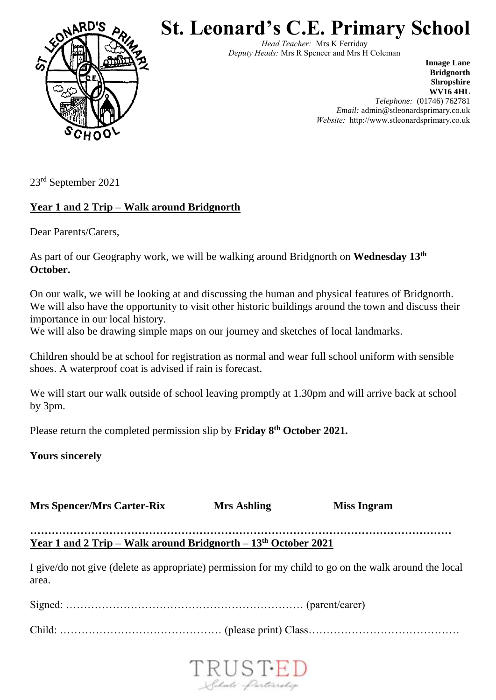

**St. Leonard's C.E. Primary School**

*Head Teacher:* Mrs K Ferriday *Deputy Heads:* Mrs R Spencer and Mrs H Coleman

> **Innage Lane Bridgnorth Shropshire WV16 4HL** *Telephone:* (01746) 762781 *Email:* admin@stleonardsprimary.co.uk *Website:* http://www.stleonardsprimary.co.uk

23rd September 2021

## **Year 1 and 2 Trip – Walk around Bridgnorth**

Dear Parents/Carers,

As part of our Geography work, we will be walking around Bridgnorth on **Wednesday 13th October.**

On our walk, we will be looking at and discussing the human and physical features of Bridgnorth. We will also have the opportunity to visit other historic buildings around the town and discuss their importance in our local history.

We will also be drawing simple maps on our journey and sketches of local landmarks.

Children should be at school for registration as normal and wear full school uniform with sensible shoes. A waterproof coat is advised if rain is forecast.

We will start our walk outside of school leaving promptly at 1.30pm and will arrive back at school by 3pm.

Please return the completed permission slip by **Friday 8th October 2021.**

**Yours sincerely**

**Mrs Spencer/Mrs Carter-Rix Mrs** Ashling **Miss Ingram** 

**……………………………………………………………………………………………………… Year 1 and 2 Trip – Walk around Bridgnorth – 13th October 2021**

I give/do not give (delete as appropriate) permission for my child to go on the walk around the local area.

Signed: ………………………………………………………… (parent/carer)

Child: ……………………………………… (please print) Class……………………………………